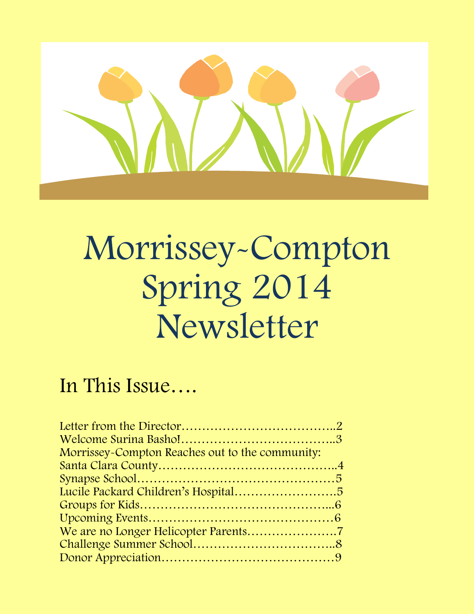

# Morrissey-Compton Spring 2014 Newsletter

### morristery-Compton Compton Compton Compton Compton Compton Compton Compton Compton Compton Compton Compton Com<br>Morris Second Compton Compton Compton Compton Compton Compton Compton Compton Compton Compton Compton Compton In This Issue….

| Morrissey-Compton Reaches out to the community: |  |
|-------------------------------------------------|--|
|                                                 |  |
|                                                 |  |
|                                                 |  |
|                                                 |  |
|                                                 |  |
|                                                 |  |
|                                                 |  |
|                                                 |  |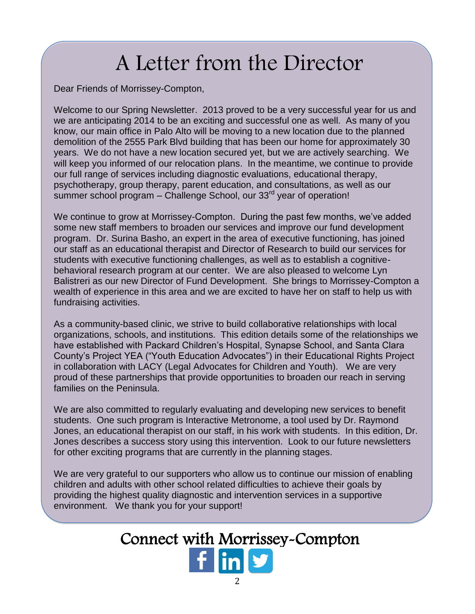## A Letter from the Director

Dear Friends of Morrissey-Compton,<br>Melsons the our Orginal Naughtten, 2012 around to be

Welcome to our Spring Newsletter. 2013 proved to be a very successful year for us and we are anticipating 2014 to be an exciting and successful one as well. As many of you know, our main office in Palo Alto will be moving to a new location due to the planned demolition of the 2555 Park Blvd building that has been our home for approximately 30 years. We do not have a new location secured yet, but we are actively searching. We will keep you informed of our relocation plans. In the meantime, we continue to provide our full range of services including diagnostic evaluations, educational therapy, psychotherapy, group therapy, parent education, and consultations, as well as our  $\frac{1}{2}$  summer school program – Challenge School, our 33<sup>rd</sup> year of operation!

We continue to grow at Morrissey-Compton. During the past few months, we've added some new staff members to broaden our services and improve our fund development program. Dr. Surina Basho, an expert in the area of executive functioning, has joined our staff as an educational therapist and Director of Research to build our services for students with executive functioning challenges, as well as to establish a cognitivebehavioral research program at our center. We are also pleased to welcome Lyn Balistreri as our new Director of Fund Development. She brings to Morrissey-Compton a wealth of experience in this area and we are excited to have her on staff to help us with fundraising activities.

As a community-based clinic, we strive to build collaborative relationships with local organizations, schools, and institutions. This edition details some of the relationships we have established with Packard Children's Hospital, Synapse School, and Santa Clara County's Project YEA ("Youth Education Advocates") in their Educational Rights Project in collaboration with LACY (Legal Advocates for Children and Youth). We are very proud of these partnerships that provide opportunities to broaden our reach in serving families on the Peninsula.

We are also committed to regularly evaluating and developing new services to benefit students. One such program is Interactive Metronome, a tool used by Dr. Raymond Jones, an educational therapist on our staff, in his work with students. In this edition, Dr. Jones describes a success story using this intervention. Look to our future newsletters for other exciting programs that are currently in the planning stages.

We are very grateful to our supporters who allow us to continue our mission of enabling children and adults with other school related difficulties to achieve their goals by providing the highest quality diagnostic and intervention services in a supportive environment. We thank you for your support!

### Connect with Morrissey-Compton Connect with Morrissey-Compton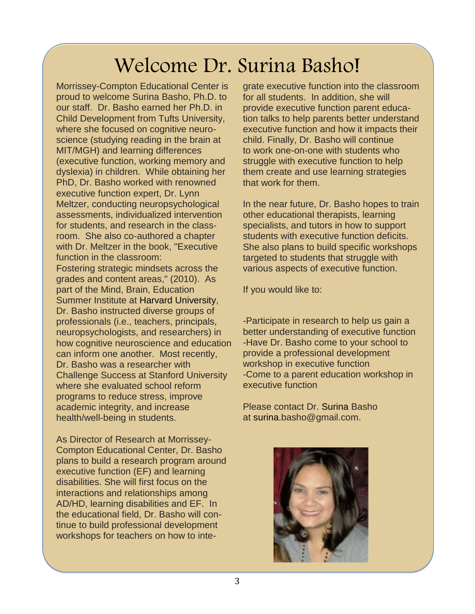### Welcome Dr. Surina Basho!

Morrissey-Compton Educational Center is proud to welcome Surina Basho, Ph.D. to our staff. Dr. Basho earned her Ph.D. in Child Development from Tufts University, where she focused on cognitive neuroscience (studying reading in the brain at MIT/MGH) and learning differences (executive function, working memory and dyslexia) in children. While obtaining her PhD, Dr. Basho worked with renowned executive function expert, Dr. Lynn Meltzer, conducting neuropsychological assessments, individualized intervention for students, and research in the classroom. She also co-authored a chapter with Dr. Meltzer in the book, "Executive function in the classroom:

Fostering strategic mindsets across the grades and content areas," (2010). As part of the Mind, Brain, Education Summer Institute at Harvard University, Dr. Basho instructed diverse groups of professionals (i.e., teachers, principals, neuropsychologists, and researchers) in how cognitive neuroscience and education can inform one another. Most recently, Dr. Basho was a researcher with Challenge Success at Stanford University where she evaluated school reform programs to reduce stress, improve academic integrity, and increase health/well-being in students.

As Director of Research at Morrissey-Compton Educational Center, Dr. Basho plans to build a research program around executive function (EF) and learning disabilities. She will first focus on the interactions and relationships among AD/HD, learning disabilities and EF. In the educational field, Dr. Basho will continue to build professional development workshops for teachers on how to inte-

Surina Basho, Ph.D. to for all students. In addition, she will<br>no earned her Ph.D. in for provide executive function parent equal grate executive function into the classroom provide executive function parent education talks to help parents better understand executive function and how it impacts their child. Finally, Dr. Basho will continue to work one-on-one with students who struggle with executive function to help them create and use learning strategies that work for them.

> In the near future, Dr. Basho hopes to train other educational therapists, learning specialists, and tutors in how to support students with executive function deficits. She also plans to build specific workshops targeted to students that struggle with various aspects of executive function.

If you would like to:

-Participate in research to help us gain a better understanding of executive function -Have Dr. Basho come to your school to provide a professional development workshop in executive function -Come to a parent education workshop in executive function

Please contact Dr. Surina Basho at [surina.basho@gmail.com.](mailto:surina.basho@gmail.com)



and and a<br><mark>notation</mark>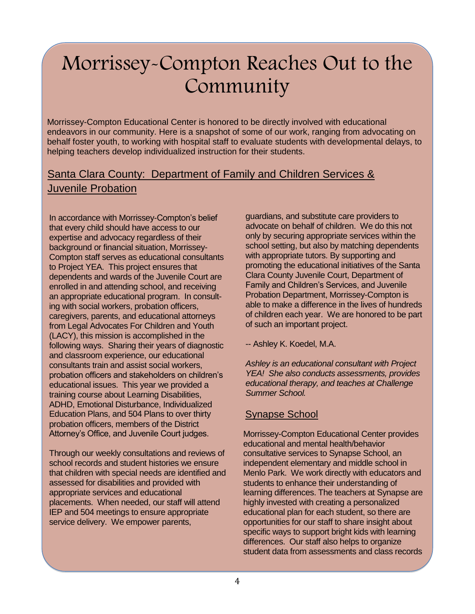### Morrissey-Compton Reaches Out to the Community

Morrissey-Compton Educational Center is honored to be directly involved with educational endeavors in our community. Here is a snapshot of some of our work, ranging from advocating on behalf foster youth, to working with hospital staff to evaluate students with developmental delays, to helping teachers develop individualized instruction for their students.

#### **Juvenile Probation**<br> **Juvenile Probation** endeavors in our community. Here is a snapshot of some of our work, ranging from ad-Santa Clara County: Department of Family and Children Services &

In accordance with Morrissey-Compton's belief guardians, and substitute care providers to that every child should have access to our Compton staff serves as educational consultants with appropriate tutors. By supporting and expertise and advocacy regardless of their background or financial situation, Morrisseyto Project YEA. This project ensures that dependents and wards of the Juvenile Court are enrolled in and attending school, and receiving an appropriate educational program. In consulting with social workers, probation officers, caregivers, parents, and educational attorneys from Legal Advocates For Children and Youth (LACY), this mission is accomplished in the following ways. Sharing their years of diagnostic and classroom experience, our educational consultants train and assist social workers, probation officers and stakeholders on children's educational issues. This year we provided a training course about Learning Disabilities, ADHD, Emotional Disturbance, Individualized Education Plans, and 504 Plans to over thirty probation officers, members of the District Attorney's Office, and Juvenile Court judges.

Through our weekly consultations and reviews of school records and student histories we ensure that children with special needs are identified and assessed for disabilities and provided with appropriate services and educational placements. When needed, our staff will attend IEP and 504 meetings to ensure appropriate service delivery. We empower parents,

guardians, and substitute care providers to advocate on behalf of children. We do this not only by securing appropriate services within the school setting, but also by matching dependents with appropriate tutors. By supporting and promoting the educational initiatives of the Santa Clara County Juvenile Court, Department of Family and Children's Services, and Juvenile Probation Department, Morrissey-Compton is able to make a difference in the lives of hundreds of children each year. We are honored to be part of such an important project.

-- Ashley K. Koedel, M.A.

*Ashley is an educational consultant with Project YEA! She also conducts assessments, provides educational therapy, and teaches at Challenge Summer School.*

#### Synapse School

Morrissey-Compton Educational Center provides educational and mental health/behavior consultative services to Synapse School, an independent elementary and middle school in Menlo Park. We work directly with educators and students to enhance their understanding of learning differences. The teachers at Synapse are highly invested with creating a personalized educational plan for each student, so there are opportunities for our staff to share insight about specific ways to support bright kids with learning differences. Our staff also helps to organize student data from assessments and class records

of their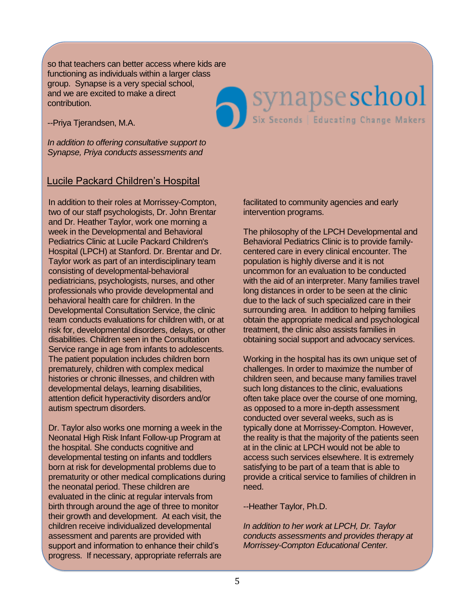so that teachers can better access where kids are functioning as individuals within a larger class group. Synapse is a very special school, and we are excited to make a direct contribution.

--Priya Tjerandsen, M.A.

*In addition to offering consultative support to Synapse, Priya conducts assessments and* 

#### Lucile Packard Children's Hospital

In addition to their roles at Morrissey-Compton, two of our staff psychologists, Dr. John Brentar and Dr. Heather Taylor, work one morning a week in the Developmental and Behavioral Pediatrics Clinic at Lucile Packard Children's Hospital (LPCH) at Stanford. Dr. Brentar and Dr. Taylor work as part of an interdisciplinary team consisting of developmental-behavioral pediatricians, psychologists, nurses, and other professionals who provide developmental and behavioral health care for children. In the Developmental Consultation Service, the clinic team conducts evaluations for children with, or at risk for, developmental disorders, delays, or other disabilities. Children seen in the Consultation Service range in age from infants to adolescents. The patient population includes children born prematurely, children with complex medical histories or chronic illnesses, and children with developmental delays, learning disabilities, attention deficit hyperactivity disorders and/or autism spectrum disorders.

Dr. Taylor also works one morning a week in the Neonatal High Risk Infant Follow-up Program at the hospital. She conducts cognitive and developmental testing on infants and toddlers born at risk for developmental problems due to prematurity or other medical complications during the neonatal period. These children are evaluated in the clinic at regular intervals from birth through around the age of three to monitor their growth and development. At each visit, the children receive individualized developmental assessment and parents are provided with support and information to enhance their child's progress. If necessary, appropriate referrals are

facilitated to community agencies and early intervention programs.

Synapse school

The philosophy of the LPCH Developmental and Behavioral Pediatrics Clinic is to provide familycentered care in every clinical encounter. The population is highly diverse and it is not uncommon for an evaluation to be conducted with the aid of an interpreter. Many families travel long distances in order to be seen at the clinic due to the lack of such specialized care in their surrounding area. In addition to helping families obtain the appropriate medical and psychological treatment, the clinic also assists families in obtaining social support and advocacy services.

Working in the hospital has its own unique set of challenges. In order to maximize the number of children seen, and because many families travel such long distances to the clinic, evaluations often take place over the course of one morning, as opposed to a more in-depth assessment conducted over several weeks, such as is typically done at Morrissey-Compton. However, the reality is that the majority of the patients seen at in the clinic at LPCH would not be able to access such services elsewhere. It is extremely satisfying to be part of a team that is able to provide a critical service to families of children in need.

--Heather Taylor, Ph.D.

*In addition to her work at LPCH, Dr. Taylor conducts assessments and provides therapy at Morrissey-Compton Educational Center.*

and Behavioral Pediatrics Clinic at Lucile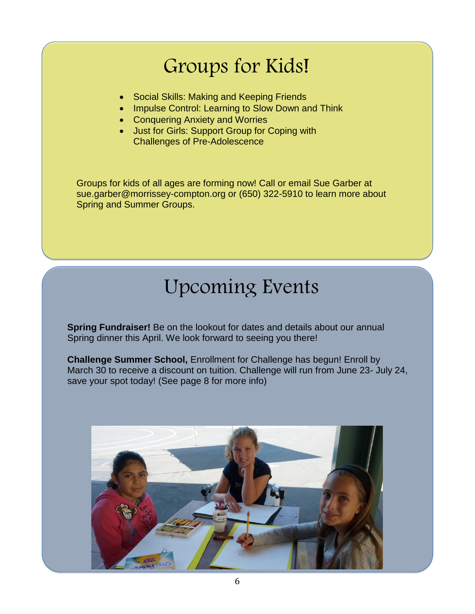### Groups for Kids!

- Social Skills: Making and Keeping Friends
- Impulse Control: Learning to Slow Down and Think
- Conquering Anxiety and Worries
- Just for Girls: Support Group for Coping with Challenges of Pre-Adolescence

Groups for kids of all ages are forming now! Call or email Sue Garber at sue.garber@morrissey-compton.org or (650) 322-5910 to learn more about Spring and Summer Groups.

### Upcoming Events

**Spring Fundraiser!** Be on the lookout for dates and details about our annual Spring dinner this April. We look forward to seeing you there!

**Challenge Summer School,** Enrollment for Challenge has begun! Enroll by March 30 to receive a discount on tuition. Challenge will run from June 23- July 24, save your spot today! (See page 8 for more info)

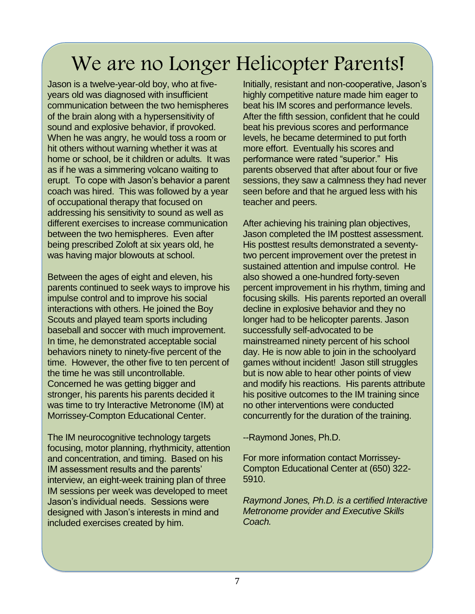### We are no Longer Helicopter Parents!

Jason is a twelve-year-old boy, who at fiveyears old was diagnosed with insufficient communication between the two hemispheres of the brain along with a hypersensitivity of sound and explosive behavior, if provoked. When he was angry, he would toss a room or hit others without warning whether it was at home or school, be it children or adults. It was as if he was a simmering volcano waiting to erupt. To cope with Jason's behavior a parent coach was hired. This was followed by a year of occupational therapy that focused on addressing his sensitivity to sound as well as different exercises to increase communication between the two hemispheres. Even after being prescribed Zoloft at six years old, he was having major blowouts at school.

Between the ages of eight and eleven, his parents continued to seek ways to improve his impulse control and to improve his social interactions with others. He joined the Boy Scouts and played team sports including baseball and soccer with much improvement. In time, he demonstrated acceptable social behaviors ninety to ninety-five percent of the time. However, the other five to ten percent of the time he was still uncontrollable. Concerned he was getting bigger and stronger, his parents his parents decided it was time to try Interactive Metronome (IM) at Morrissey-Compton Educational Center.

The IM neurocognitive technology targets focusing, motor planning, rhythmicity, attention and concentration, and timing. Based on his IM assessment results and the parents' interview, an eight-week training plan of three IM sessions per week was developed to meet Jason's individual needs. Sessions were designed with Jason's interests in mind and included exercises created by him.

be a more year old boy, this arms is a million, redetain and non-ecoporative, sacond<br>bid was diagnosed with insufficient highly competitive nature made him eager to<br>inication between the two hemispheres beat his IM scores Initially, resistant and non-cooperative, Jason's beat his IM scores and performance levels. After the fifth session, confident that he could beat his previous scores and performance levels, he became determined to put forth more effort. Eventually his scores and performance were rated "superior." His parents observed that after about four or five sessions, they saw a calmness they had never seen before and that he argued less with his teacher and peers.

> After achieving his training plan objectives, Jason completed the IM posttest assessment. His posttest results demonstrated a seventytwo percent improvement over the pretest in sustained attention and impulse control. He also showed a one-hundred forty-seven percent improvement in his rhythm, timing and focusing skills. His parents reported an overall decline in explosive behavior and they no longer had to be helicopter parents. Jason successfully self-advocated to be mainstreamed ninety percent of his school day. He is now able to join in the schoolyard games without incident! Jason still struggles but is now able to hear other points of view and modify his reactions. His parents attribute his positive outcomes to the IM training since no other interventions were conducted concurrently for the duration of the training.

--Raymond Jones, Ph.D.

For more information contact Morrissey-Compton Educational Center at (650) 322- 5910.

*Raymond Jones, Ph.D. is a certified Interactive Metronome provider and Executive Skills Coach.*

Between the ages of eight and eleven, his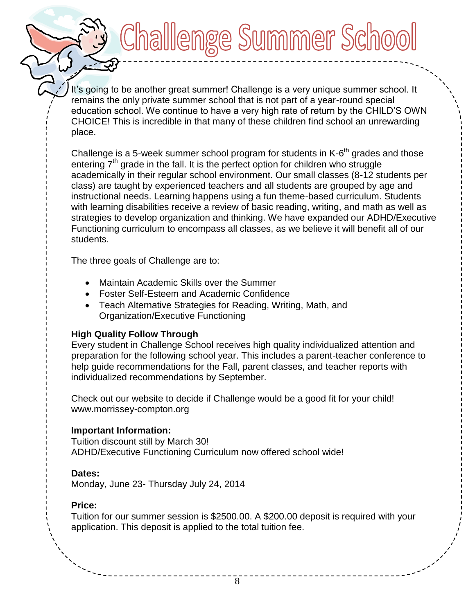It's going to be another great summer! Challenge is a very unique summer school. It remains the only private summer school that is not part of a year-round special education school. We continue to have a very high rate of return by the CHILD'S OWN CHOICE! This is incredible in that many of these children find school an unrewarding place.

Challlenge Summer Schoo

Challenge is a 5-week summer school program for students in  $K$ - $6<sup>th</sup>$  grades and those entering  $7<sup>th</sup>$  grade in the fall. It is the perfect option for children who struggle academically in their regular school environment. Our small classes (8-12 students per class) are taught by experienced teachers and all students are grouped by age and instructional needs. Learning happens using a fun theme-based curriculum. Students with learning disabilities receive a review of basic reading, writing, and math as well as strategies to develop organization and thinking. We have expanded our ADHD/Executive Functioning curriculum to encompass all classes, as we believe it will benefit all of our students.

The three goals of Challenge are to:

- Maintain Academic Skills over the Summer
- Foster Self-Esteem and Academic Confidence
- Teach Alternative Strategies for Reading, Writing, Math, and Organization/Executive Functioning

#### **High Quality Follow Through**

Every student in Challenge School receives high quality individualized attention and preparation for the following school year. This includes a parent-teacher conference to help guide recommendations for the Fall, parent classes, and teacher reports with individualized recommendations by September.

Check out our website to decide if Challenge would be a good fit for your child! www.morrissey-compton.org

#### **Important Information:**

Tuition discount still by March 30! ADHD/Executive Functioning Curriculum now offered school wide!

#### **Dates:**

Monday, June 23- Thursday July 24, 2014

#### **Price:**

Tuition for our summer session is \$2500.00. A \$200.00 deposit is required with your application. This deposit is applied to the total tuition fee.

It's going to be another great summer! Challenge is a very unique summer school. It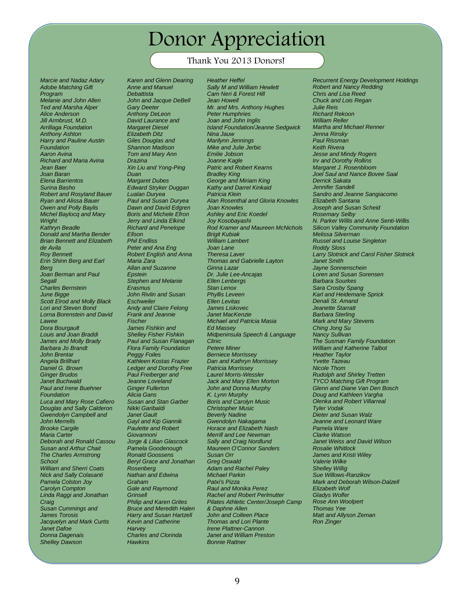### Donor Appreciation

#### Thank You 2013 Donors!

*Marcie and Nadaz Adary Adobe Matching Gift Program Melanie and John Allen Ted and Marsha Alper Alice Anderson Jill Armbrust, M.D. Arrillaga Foundation Anthony Ashton Harry and Pauline Austin Foundation Aaron Avina Richard and Maria Avina Jean Baer Joan Baran Elena Barrientos Surina Basho Robert and Rosyland Bauer Ryan and Alissa Bauer Owen and Polly Baylis Michel Baylocq and Mary Wright Kathryn Beadle Donald and Martha Bender Brian Bennett and Elizabeth de Avila Roy Bennett Erin Shinn Berg and Earl Berg Joan Berman and Paul Segall Charles Bernstein June Bigge Scott Elrod and Molly Black Lori and Steven Bond Lorna Borenstein and David Lawee Dora Bourgault Louis and Joan Braddi James and Molly Brady Barbara Jo Brandt John Brentar Angela Brillhart Daniel G. Brown Ginger Brudos Janet Buchwald Paul and Irene Buehner Foundation Luca and Mary Rose Cafiero Douglas and Sally Calderon Gwendolyn Campbell and John Merrells Brooke Cargile Maria Carter Deborah and Ronald Cassou Susan and Arthur Chait The Charles Armstrong School William and Sherri Coats Nick and Sally Colasanti Pamela Colston Joy Carolyn Compton Linda Raggi and Jonathan Craig Susan Cummings and James Torosis Jacquelyn and Mark Curtis Janet Dafoe Donna Dagenais Shelley Dawson*

*Karen and Glenn Dearing Anne and Manuel Debattista John and Jacque DeBell Gary Deeter Anthony DeLeon David Laurance and Margaret Diesel Elizabeth Ditz Giles Douglas and Shannon Madison Tom and Mary Ann Drazina Xin Liu and Yong-Ping Duan Margaret Dubes Edward Stryker Duggan Lualan Duryea Paul and Susan Duryea Dawn and David Edgren Boris and Michele Efron Jerry and Linda Elkind Richard and Penelope Ellson Phil Endliss Peter and Ana Eng Robert English and Anna Maria Zara Allan and Suzanne Epstein Stephen and Melanie Erasmus John Rivlin and Susan Eschweiler Andy and Claire Felong Frank and Jeannie Fischer James Fishkin and Shelley Fisher Fishkin Paul and Susan Flanagan Flora Family Foundation Peggy Foiles Kathleen Kostas Frazier Ledger and Dorothy Free Paul Freiberger and Jeanne Loveland Ginger Fullerton Alicia Gans Susan and Stan Garber Nikki Garibaldi Janet Gault Gayl and Kip Giannik Paulette and Robert Giovannoni Jorge & Lilian Glascock Pamela Goodenough Ronald Goossens Beryl Grace and Jonathan Rosenberg Nathan and Edwina Graham Gale and Raymond Grinsell Philip and Karen Grites Bruce and Meredith Halen Harry and Susan Hartzell Kevin and Catherine Harvey Charles and Clorinda Hawkins*

THEIR TOW 20 TO DONOTS:<br>
nd Glenn Dearing Heather Heffel Recu *Heather Heffel Sally M and William Hewlett Cam Neri & Forest Hill Jean Howell Mr. and Mrs. Anthony Hughes Peter Humphries Joan and John Inglis Island Foundation/Jeanne Sedgwick Nina Jauw Marilynn Jennings Mike and Julie Jerbic Emilie Jobson Joanne Kagle Patric and Robert Kearns Bradley King George and Miriam King Kathy and Darrel Kinkaid Patricia Klein Alan Rosenthal and Gloria Knowles Joan Knowles Ashley and Eric Koedel Joy Kosobayashi Rod Kramer and Maureen McNichols Brigit Kubiak William Lambert Joan Lane Theresa Laver Thomas and Gabrielle Layton Ginna Lazar Dr. Julie Lee-Ancajas Ellen Lenbergs Stan Lenox Phyllis Leveen Ellen Levitas James Liskovec Janet MacKenzie Michael and Patricia Masia Ed Massey Midpeninsula Speech & Language Clinic Petere Miner Berniece Morrissey Dan and Kathryn Morrissey Patricia Morrissey Laurel Morris-Wessler Jack and Mary Ellen Morton John and Donna Murphy K. Lynn Murphy Boris and Carolyn Music Christopher Music Beverly Nadine Gwendolyn Nakagama Horace and Elizabeth Nash Merrill and Lee Newman Sally and Craig Nordlund Maureen O'Connor Sanders Susan Orr Greg Oswald Adam and Rachel Paley Michael Parkin Patxi's Pizza Raul and Monika Perez Rachel and Robert Perlmutter Pilates Athletic Center/Joseph Camp & Daphne Allen John and Colleen Place Thomas and Lori Plante Irene Plattner-Cannon Janet and William Preston Bonnie Rattner*

*Recurrent Energy Development Holdings Robert and Nancy Redding Chris and Lisa Reed Chuck and Lois Regan Julie Reis Richard Rekoon William Reller Martha and Michael Renner Jenna Rinsky Paul Rissman Keith Rivera Jesse and Mindy Rogers Irv and Dorothy Rollins Margaret J. Rosenbloom Joel Saul and Nance Bovee Saal Derrick Sakata Jennifer Sandell Sandro and Jeanne Sangiacomo Elizabeth Santana Joseph and Susan Scheid Rosemary Selby N. Parker Willis and Anne Senti-Willis Silicon Valley Community Foundation Melissa Silverman Russel and Louise Singleton Roddy Sloss Larry Slotnick and Carol Fisher Slotnick Janet Smith Jayne Sonnenschein Loren and Susan Sorensen Barbara Sourkes Sara Crosby Spang Karl and Heidemarie Sprick Denali St. Amand Jeanette Starratt Barbara Sterling Mark and Mary Stevens Ching Jong Su Nancy Sullivan The Susman Family Foundation William and Katherine Talbot Heather Taylor Yvette Tazeau Nicole Thom Rudolph and Shirley Tretten TYCO Matching Gift Program Glenn and Diane Van Den Bosch Doug and Kathleen Vargha Olenka and Robert Villarreal Tyler Vodak Dieter and Susan Walz Jeanne and Leonard Ware Pamela Ware Clarke Watson Janet Weiss and David Wilson Rosalie Whitlock James and Kristi Wiley Valerie Wilke Shelley Willig Sue Willows-Ranzikov Mark and Deborah Wilson-Dalzell Elizabeth Wolf Gladys Wolfer Rose Ann Woolpert Thomas Yee Matt and Allyson Zeman Ron Zinger*